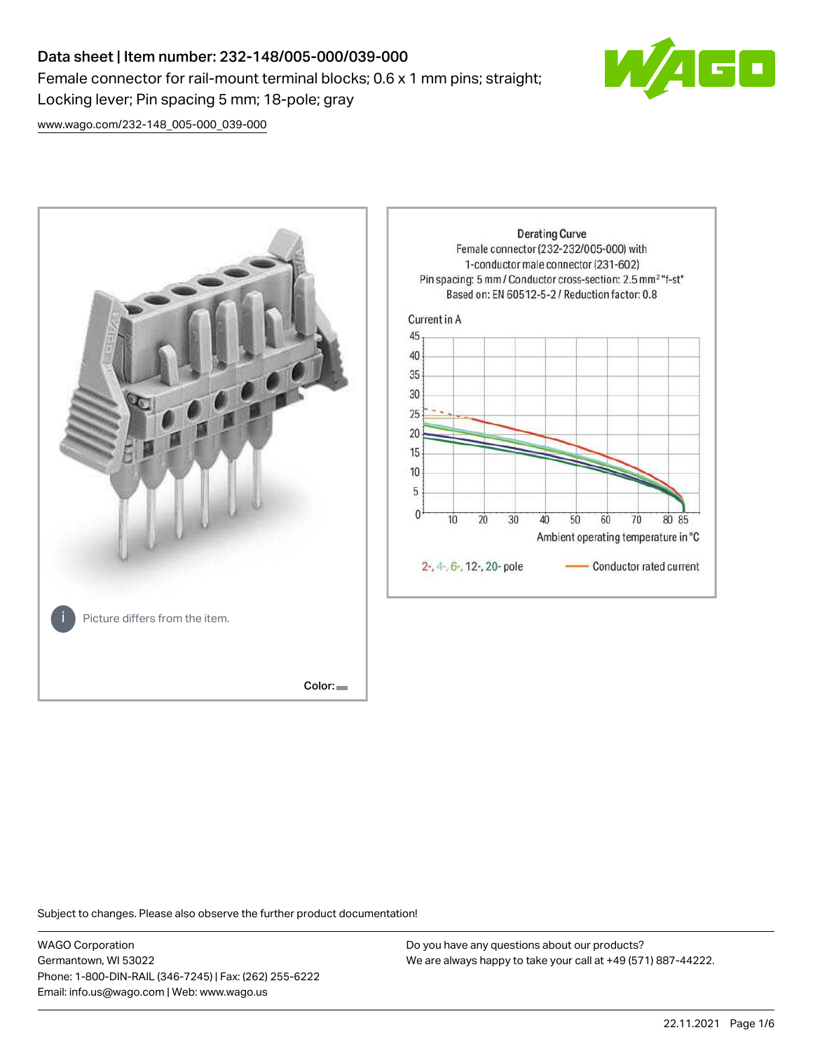# Data sheet | Item number: 232-148/005-000/039-000 Female connector for rail-mount terminal blocks; 0.6 x 1 mm pins; straight; Locking lever; Pin spacing 5 mm; 18-pole; gray



[www.wago.com/232-148\\_005-000\\_039-000](http://www.wago.com/232-148_005-000_039-000)



Subject to changes. Please also observe the further product documentation!

WAGO Corporation Germantown, WI 53022 Phone: 1-800-DIN-RAIL (346-7245) | Fax: (262) 255-6222 Email: info.us@wago.com | Web: www.wago.us

Do you have any questions about our products? We are always happy to take your call at +49 (571) 887-44222.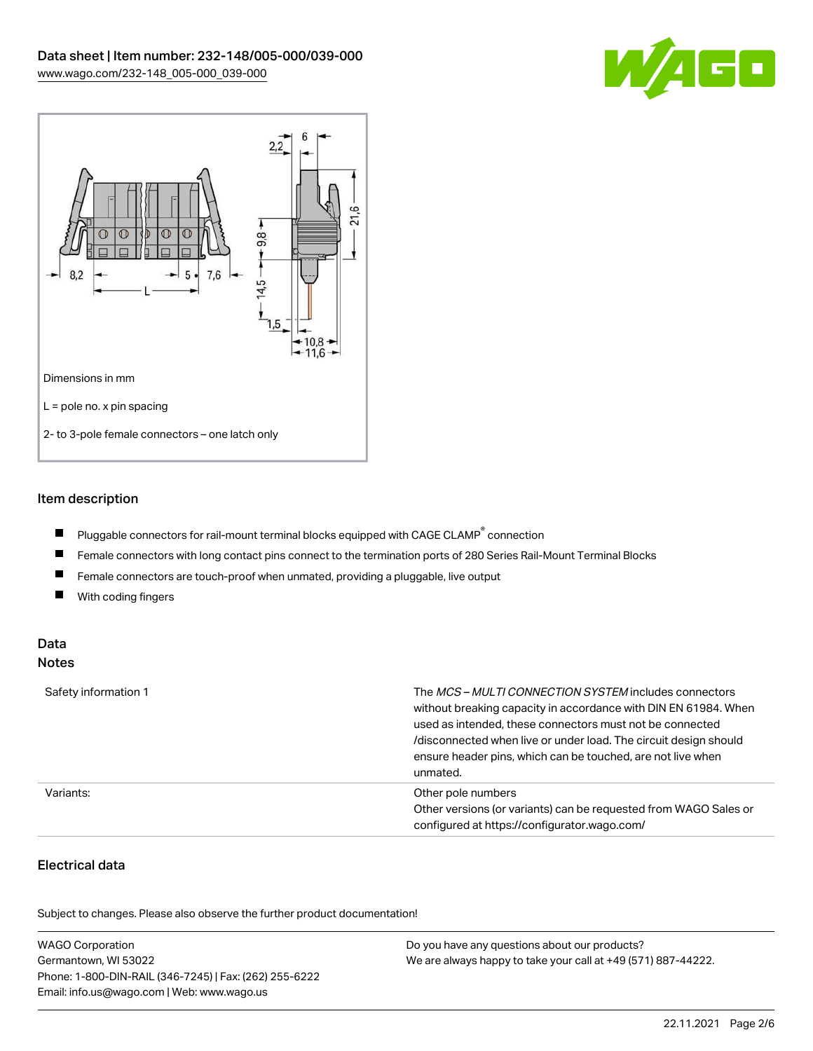



## Item description

- $\blacksquare$ Pluggable connectors for rail-mount terminal blocks equipped with CAGE CLAMP $^{\circ}$  connection
- $\blacksquare$ Female connectors with long contact pins connect to the termination ports of 280 Series Rail-Mount Terminal Blocks
- Female connectors are touch-proof when unmated, providing a pluggable, live output  $\blacksquare$
- $\blacksquare$ With coding fingers

## Data Notes

| Safety information 1 | The <i>MCS – MULTI CONNECTION SYSTEM</i> includes connectors<br>without breaking capacity in accordance with DIN EN 61984. When<br>used as intended, these connectors must not be connected<br>/disconnected when live or under load. The circuit design should<br>ensure header pins, which can be touched, are not live when<br>unmated. |
|----------------------|--------------------------------------------------------------------------------------------------------------------------------------------------------------------------------------------------------------------------------------------------------------------------------------------------------------------------------------------|
| Variants:            | Other pole numbers<br>Other versions (or variants) can be requested from WAGO Sales or<br>configured at https://configurator.wago.com/                                                                                                                                                                                                     |

# Electrical data

.<br>Subject to changes. Please also observe the further product documentation!

| <b>WAGO Corporation</b>                                | Do you have any questions about our products?                 |
|--------------------------------------------------------|---------------------------------------------------------------|
| Germantown, WI 53022                                   | We are always happy to take your call at +49 (571) 887-44222. |
| Phone: 1-800-DIN-RAIL (346-7245)   Fax: (262) 255-6222 |                                                               |
| Email: info.us@wago.com   Web: www.wago.us             |                                                               |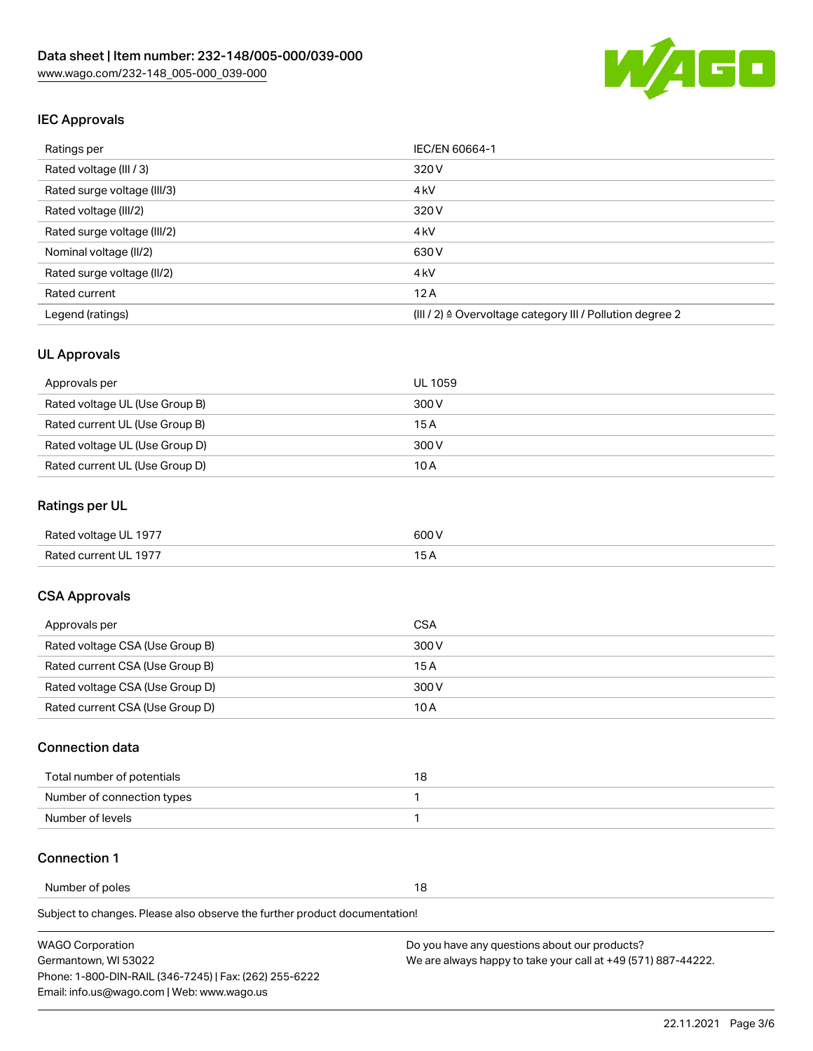

## IEC Approvals

| Ratings per                 | IEC/EN 60664-1                                                       |  |
|-----------------------------|----------------------------------------------------------------------|--|
| Rated voltage (III / 3)     | 320 V                                                                |  |
| Rated surge voltage (III/3) | 4 <sub>k</sub> V                                                     |  |
| Rated voltage (III/2)       | 320 V                                                                |  |
| Rated surge voltage (III/2) | 4 <sub>k</sub> V                                                     |  |
| Nominal voltage (II/2)      | 630 V                                                                |  |
| Rated surge voltage (II/2)  | 4 <sub>k</sub> V                                                     |  |
| Rated current               | 12A                                                                  |  |
| Legend (ratings)            | (III / 2) $\triangleq$ Overvoltage category III / Pollution degree 2 |  |

## UL Approvals

| Approvals per                  | UL 1059 |
|--------------------------------|---------|
| Rated voltage UL (Use Group B) | 300 V   |
| Rated current UL (Use Group B) | 15 A    |
| Rated voltage UL (Use Group D) | 300 V   |
| Rated current UL (Use Group D) | 10 A    |

## Ratings per UL

| Rated voltage UL 1977 | 600 V |
|-----------------------|-------|
| Rated current UL 1977 |       |

## CSA Approvals

| Approvals per                   | CSA   |
|---------------------------------|-------|
| Rated voltage CSA (Use Group B) | 300 V |
| Rated current CSA (Use Group B) | 15 A  |
| Rated voltage CSA (Use Group D) | 300 V |
| Rated current CSA (Use Group D) | 10 A  |

## Connection data

| Total number of potentials |  |
|----------------------------|--|
| Number of connection types |  |
| Number of levels           |  |

#### Connection 1

Number of poles 18

Subject to changes. Please also observe the further product documentation!

| WAGO Corporation                                       | Do you have any questions about our products?                 |
|--------------------------------------------------------|---------------------------------------------------------------|
| Germantown. WI 53022                                   | We are always happy to take your call at +49 (571) 887-44222. |
| Phone: 1-800-DIN-RAIL (346-7245)   Fax: (262) 255-6222 |                                                               |
| Email: info.us@wago.com   Web: www.wago.us             |                                                               |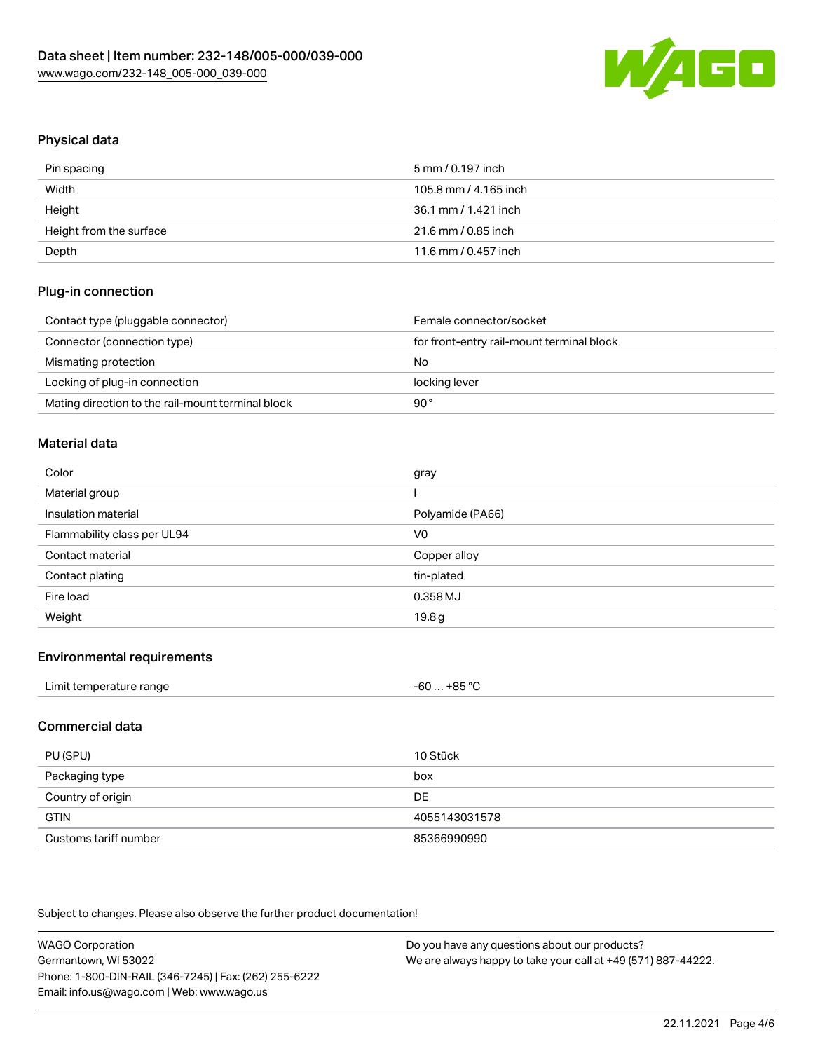

# Physical data

| Pin spacing             | 5 mm / 0.197 inch     |
|-------------------------|-----------------------|
| Width                   | 105.8 mm / 4.165 inch |
| Height                  | 36.1 mm / 1.421 inch  |
| Height from the surface | 21.6 mm / 0.85 inch   |
| Depth                   | 11.6 mm / 0.457 inch  |

## Plug-in connection

| Contact type (pluggable connector)                | Female connector/socket                   |
|---------------------------------------------------|-------------------------------------------|
| Connector (connection type)                       | for front-entry rail-mount terminal block |
| Mismating protection                              | No                                        |
| Locking of plug-in connection                     | locking lever                             |
| Mating direction to the rail-mount terminal block | 90°                                       |

## Material data

| Color                       | gray             |
|-----------------------------|------------------|
| Material group              |                  |
| Insulation material         | Polyamide (PA66) |
| Flammability class per UL94 | V <sub>0</sub>   |
| Contact material            | Copper alloy     |
| Contact plating             | tin-plated       |
| Fire load                   | 0.358 MJ         |
|                             |                  |

## Environmental requirements

| Limit temperature range | $-60+85 °C$ |  |
|-------------------------|-------------|--|
|-------------------------|-------------|--|

## Commercial data

| PU (SPU)              | 10 Stück      |
|-----------------------|---------------|
| Packaging type        | box           |
| Country of origin     | DE            |
| <b>GTIN</b>           | 4055143031578 |
| Customs tariff number | 85366990990   |

Subject to changes. Please also observe the further product documentation!

| <b>WAGO Corporation</b>                                | Do you have any questions about our products?                 |  |
|--------------------------------------------------------|---------------------------------------------------------------|--|
| Germantown, WI 53022                                   | We are always happy to take your call at +49 (571) 887-44222. |  |
| Phone: 1-800-DIN-RAIL (346-7245)   Fax: (262) 255-6222 |                                                               |  |
| Email: info.us@wago.com   Web: www.wago.us             |                                                               |  |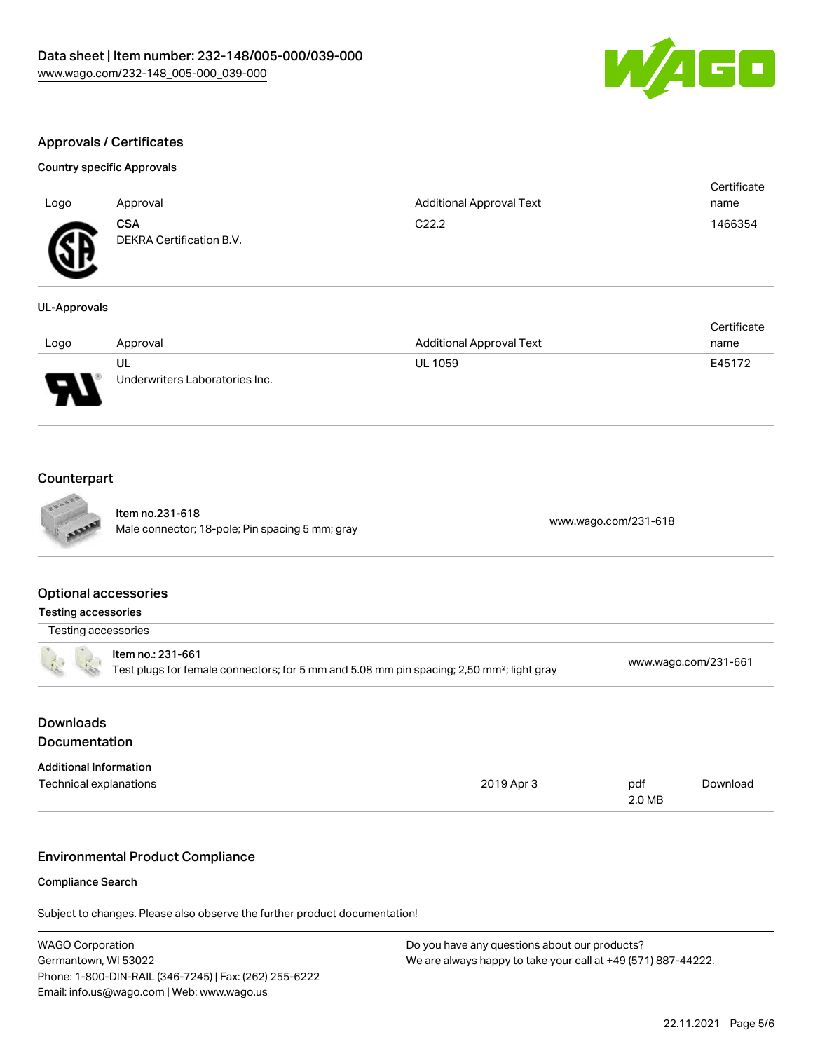

# Approvals / Certificates

#### Country specific Approvals

| Logo                          | Approval                               | <b>Additional Approval Text</b>                                               | Certificate<br>name    |
|-------------------------------|----------------------------------------|-------------------------------------------------------------------------------|------------------------|
| GB                            | <b>CSA</b><br>DEKRA Certification B.V. | C <sub>22.2</sub>                                                             | 1466354                |
| <b>UL-Approvals</b>           |                                        |                                                                               |                        |
| the state of the state of the | A 1                                    | $A = 1$ and $A = 1$ $A = 1$ and $A = 1$ $\mathbf{T} = 1$ and $\mathbf{L} = 1$ | Certificate<br>$    -$ |

| Logo | Approval                             | <b>Additional Approval Text</b> | name   |
|------|--------------------------------------|---------------------------------|--------|
| D    | UL<br>Underwriters Laboratories Inc. | <b>UL 1059</b>                  | E45172 |

## **Counterpart**

|                               | Item no.231-618<br>Male connector; 18-pole; Pin spacing 5 mm; gray                                                         |            | www.wago.com/231-618 |                      |
|-------------------------------|----------------------------------------------------------------------------------------------------------------------------|------------|----------------------|----------------------|
| <b>Optional accessories</b>   |                                                                                                                            |            |                      |                      |
| <b>Testing accessories</b>    |                                                                                                                            |            |                      |                      |
| Testing accessories           |                                                                                                                            |            |                      |                      |
|                               | Item no.: 231-661<br>Test plugs for female connectors; for 5 mm and 5.08 mm pin spacing; 2,50 mm <sup>2</sup> ; light gray |            |                      | www.wago.com/231-661 |
| <b>Downloads</b>              |                                                                                                                            |            |                      |                      |
| Documentation                 |                                                                                                                            |            |                      |                      |
| <b>Additional Information</b> |                                                                                                                            |            |                      |                      |
| Technical explanations        |                                                                                                                            | 2019 Apr 3 | pdf<br>2.0 MB        | Download             |
|                               | <b>Environmental Product Compliance</b>                                                                                    |            |                      |                      |
|                               |                                                                                                                            |            |                      |                      |
| <b>Compliance Search</b>      |                                                                                                                            |            |                      |                      |
|                               | Subject to changes. Please also observe the further product documentation!                                                 |            |                      |                      |

| <b>WAGO Corporation</b>                                | Do you have any questions about our products?                 |
|--------------------------------------------------------|---------------------------------------------------------------|
| Germantown, WI 53022                                   | We are always happy to take your call at +49 (571) 887-44222. |
| Phone: 1-800-DIN-RAIL (346-7245)   Fax: (262) 255-6222 |                                                               |
| Email: info.us@wago.com   Web: www.wago.us             |                                                               |